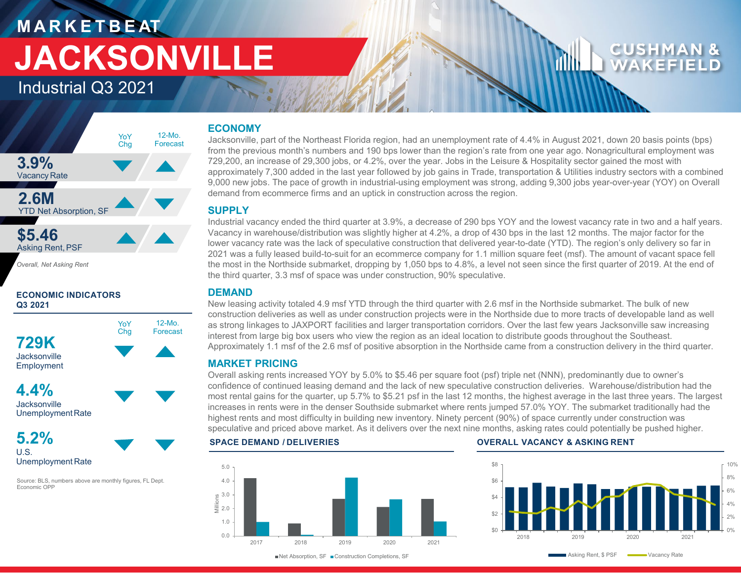# **M A R K E T B E AT JACKSONVILLE**

Industrial Q3 2021

## **3.9%** Vacancy Rate **2.6M** YTD Net Absorption, SF **\$5.46** Asking Rent,PSF YoY Chg 12-Mo. Forecast

*Overall, Net Asking Rent*

### **ECONOMIC INDICATORS Q3 2021**



**Jacksonville** UnemploymentRate



Source: BLS, numbers above are monthly figures, FL Dept. Economic OPP

# **ECONOMY**

Jacksonville, part of the Northeast Florida region, had an unemployment rate of 4.4% in August 2021, down 20 basis points (bps) from the previous month's numbers and 190 bps lower than the region's rate from one year ago. Nonagricultural employment was 729,200, an increase of 29,300 jobs, or 4.2%, over the year. Jobs in the Leisure & Hospitality sector gained the most with approximately 7,300 added in the last year followed by job gains in Trade, transportation & Utilities industry sectors with a combined 9,000 new jobs. The pace of growth in industrial-using employment was strong, adding 9,300 jobs year-over-year (YOY) on Overall demand from ecommerce firms and an uptick in construction across the region.

### **SUPPLY**

Industrial vacancy ended the third quarter at 3.9%, a decrease of 290 bps YOY and the lowest vacancy rate in two and a half years. Vacancy in warehouse/distribution was slightly higher at 4.2%, a drop of 430 bps in the last 12 months. The major factor for the lower vacancy rate was the lack of speculative construction that delivered year-to-date (YTD). The region's only delivery so far in 2021 was a fully leased build-to-suit for an ecommerce company for 1.1 million square feet (msf). The amount of vacant space fell the most in the Northside submarket, dropping by 1,050 bps to 4.8%, a level not seen since the first quarter of 2019. At the end of the third quarter, 3.3 msf of space was under construction, 90% speculative.

## **DEMAND**

12-Mo. Forecast New leasing activity totaled 4.9 msf YTD through the third quarter with 2.6 msf in the Northside submarket. The bulk of new construction deliveries as well as under construction projects were in the Northside due to more tracts of developable land as well as strong linkages to JAXPORT facilities and larger transportation corridors. Over the last few years Jacksonville saw increasing interest from large big box users who view the region as an ideal location to distribute goods throughout the Southeast. Approximately 1.1 msf of the 2.6 msf of positive absorption in the Northside came from a construction delivery in the third quarter.

## **MARKET PRICING**

Overall asking rents increased YOY by 5.0% to \$5.46 per square foot (psf) triple net (NNN), predominantly due to owner's confidence of continued leasing demand and the lack of new speculative construction deliveries. Warehouse/distribution had the most rental gains for the quarter, up 5.7% to \$5.21 psf in the last 12 months, the highest average in the last three years. The largest increases in rents were in the denser Southside submarket where rents jumped 57.0% YOY. The submarket traditionally had the highest rents and most difficulty in building new inventory. Ninety percent (90%) of space currently under construction was speculative and priced above market. As it delivers over the next nine months, asking rates could potentially be pushed higher.



### **SPACE DEMAND / DELIVERIES OVERALL VACANCY & ASKING RENT**



■ Net Absorption, SF ■ Construction Completions, SF

Asking Rent, \$ PSF Wacancy Rate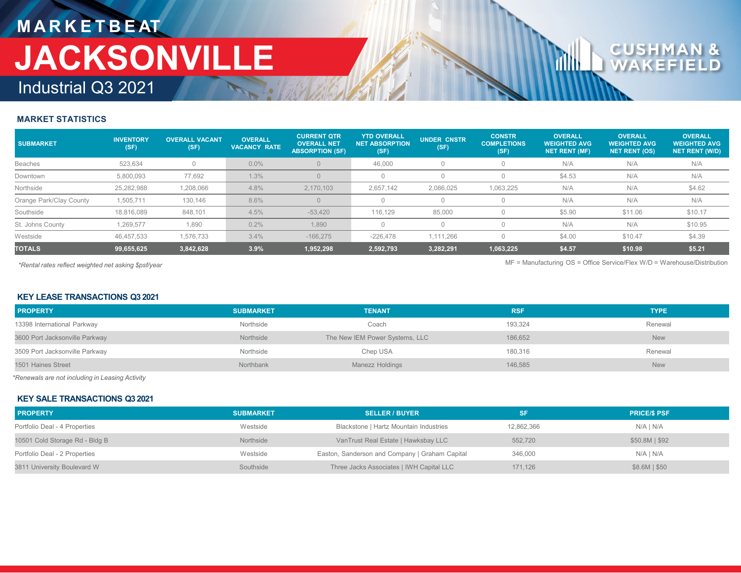# **M A R K E T B E AT** Industrial Q3 2021 **JACKSONVILLE**

### **MARKET STATISTICS**

| <b>SUBMARKET</b>        | <b>INVENTORY</b><br>(SF) | <b>OVERALL VACANT</b><br>(SF) | <b>OVERALL</b><br><b>VACANCY RATE</b> | <b>CURRENT QTR</b><br><b>OVERALL NET</b><br><b>ABSORPTION (SF)</b> | <b>YTD OVERALL</b><br><b>NET ABSORPTION</b><br>(SF) | <b>UNDER CNSTR</b><br>(SF) | <b>CONSTR</b><br><b>COMPLETIONS</b><br>(SF) | <b>OVERALL</b><br><b>WEIGHTED AVG</b><br><b>NET RENT (MF)</b> | <b>OVERALL</b><br><b>WEIGHTED AVG</b><br><b>NET RENT (OS)</b> | <b>OVERALL</b><br><b>WEIGHTED AVG</b><br><b>NET RENT (W/D)</b> |
|-------------------------|--------------------------|-------------------------------|---------------------------------------|--------------------------------------------------------------------|-----------------------------------------------------|----------------------------|---------------------------------------------|---------------------------------------------------------------|---------------------------------------------------------------|----------------------------------------------------------------|
| <b>Beaches</b>          | 523.634                  |                               | $0.0\%$                               |                                                                    | 46,000                                              |                            |                                             | N/A                                                           | N/A                                                           | N/A                                                            |
| Downtown                | 5,800,093                | 77,692                        | 1.3%                                  |                                                                    |                                                     |                            |                                             | \$4.53                                                        | N/A                                                           | N/A                                                            |
| Northside               | 25,282,988               | 1,208,066                     | 4.8%                                  | 2,170,103                                                          | 2,657,142                                           | 2,086,025                  | 1,063,225                                   | N/A                                                           | N/A                                                           | \$4.62                                                         |
| Orange Park/Clay County | 1,505,711                | 130,146                       | 8.6%                                  |                                                                    |                                                     |                            |                                             | N/A                                                           | N/A                                                           | N/A                                                            |
| Southside               | 18,816,089               | 848,101                       | 4.5%                                  | $-53.420$                                                          | 116.129                                             | 85,000                     |                                             | \$5.90                                                        | \$11.06                                                       | \$10.17                                                        |
| St. Johns County        | .269.577                 | 1,890                         | 0.2%                                  | 1,890                                                              |                                                     |                            |                                             | N/A                                                           | N/A                                                           | \$10.95                                                        |
| Westside                | 46,457,533               | 1,576,733                     | 3.4%                                  | $-166.275$                                                         | $-226.478$                                          | 1.111.266                  |                                             | \$4.00                                                        | \$10.47                                                       | \$4.39                                                         |
| <b>TOTALS</b>           | 99,655,625               | 3,842,628                     | 3.9%                                  | 1,952,298                                                          | 2,592,793                                           | 3,282,291                  | 1,063,225                                   | \$4.57                                                        | \$10.98                                                       | \$5.21                                                         |

*\*Rental rates reflect weighted net asking \$psf/year* MF = Manufacturing OS = Office Service/Flex W/D = Warehouse/Distribution

### **KEY LEASE TRANSACTIONS Q3 2021**

| <b>PROPERTY</b>                | <b>SUBMARKET</b> | <b>TENANT</b>                  | <b>RSF</b> | <b>TYPE</b> |
|--------------------------------|------------------|--------------------------------|------------|-------------|
| 13398 International Parkway    | Northside        | Coach                          | 193.324    | Renewal     |
| 3600 Port Jacksonville Parkway | Northside        | The New IEM Power Systems, LLC | 186.652    | <b>New</b>  |
| 3509 Port Jacksonville Parkway | Northside        | Chep USA                       | 180,316    | Renewal     |
| 1501 Haines Street             | Northbank        | Manezz Holdings                | 146,585    | <b>New</b>  |

*\*Renewals are not including in Leasing Activity*

### **KEY SALE TRANSACTIONS Q3 2021**

| <b>PROPERTY</b>                | <b>SUBMARKET</b> | <b>SELLER / BUYER</b>                          | SF         | <b>PRICE/S PSF</b> |
|--------------------------------|------------------|------------------------------------------------|------------|--------------------|
| Portfolio Deal - 4 Properties  | Westside         | Blackstone   Hartz Mountain Industries         | 12,862,366 | N/A I N/A          |
| 10501 Cold Storage Rd - Bldg B | Northside        | VanTrust Real Estate   Hawksbay LLC            | 552,720    | \$50.8M   \$92     |
| Portfolio Deal - 2 Properties  | Westside         | Easton, Sanderson and Company   Graham Capital | 346,000    | N/A I N/A          |
| 3811 University Boulevard W    | Southside        | Three Jacks Associates   IWH Capital LLC       | 171.126    | \$8.6M   \$50      |